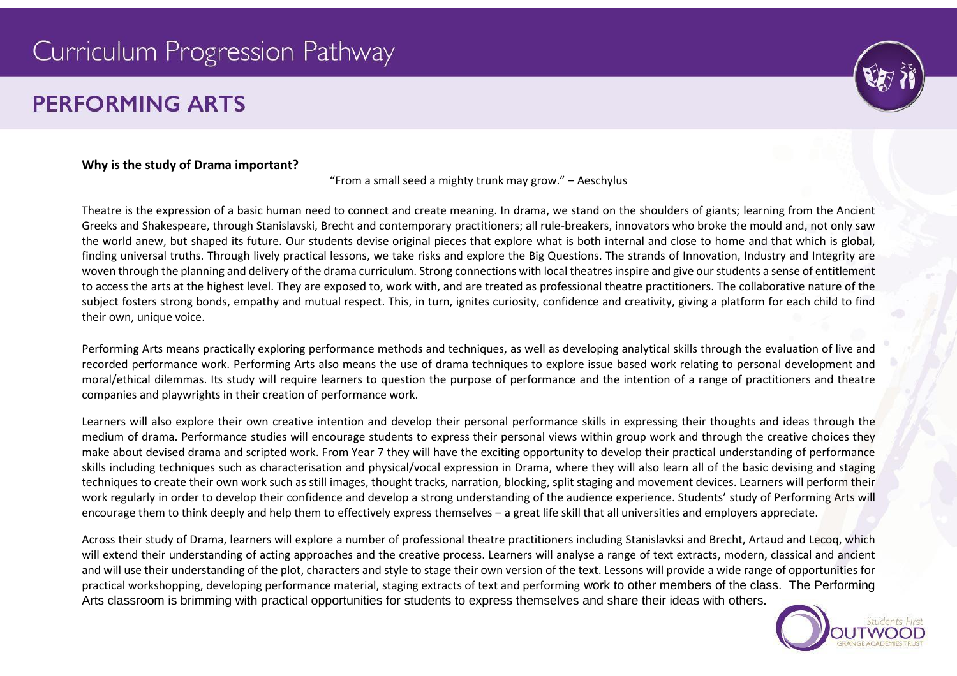# Curriculum Progression Pathway

# **PERFORMING ARTS**



#### **Why is the study of Drama important?**

"From a small seed a mighty trunk may grow." – Aeschylus

Theatre is the expression of a basic human need to connect and create meaning. In drama, we stand on the shoulders of giants; learning from the Ancient Greeks and Shakespeare, through Stanislavski, Brecht and contemporary practitioners; all rule-breakers, innovators who broke the mould and, not only saw the world anew, but shaped its future. Our students devise original pieces that explore what is both internal and close to home and that which is global, finding universal truths. Through lively practical lessons, we take risks and explore the Big Questions. The strands of Innovation, Industry and Integrity are woven through the planning and delivery of the drama curriculum. Strong connections with local theatres inspire and give our students a sense of entitlement to access the arts at the highest level. They are exposed to, work with, and are treated as professional theatre practitioners. The collaborative nature of the subject fosters strong bonds, empathy and mutual respect. This, in turn, ignites curiosity, confidence and creativity, giving a platform for each child to find their own, unique voice.

Performing Arts means practically exploring performance methods and techniques, as well as developing analytical skills through the evaluation of live and recorded performance work. Performing Arts also means the use of drama techniques to explore issue based work relating to personal development and moral/ethical dilemmas. Its study will require learners to question the purpose of performance and the intention of a range of practitioners and theatre companies and playwrights in their creation of performance work.

Learners will also explore their own creative intention and develop their personal performance skills in expressing their thoughts and ideas through the medium of drama. Performance studies will encourage students to express their personal views within group work and through the creative choices they make about devised drama and scripted work. From Year 7 they will have the exciting opportunity to develop their practical understanding of performance skills including techniques such as characterisation and physical/vocal expression in Drama, where they will also learn all of the basic devising and staging techniques to create their own work such as still images, thought tracks, narration, blocking, split staging and movement devices. Learners will perform their work regularly in order to develop their confidence and develop a strong understanding of the audience experience. Students' study of Performing Arts will encourage them to think deeply and help them to effectively express themselves – a great life skill that all universities and employers appreciate.

Across their study of Drama, learners will explore a number of professional theatre practitioners including Stanislavksi and Brecht, Artaud and Lecoq, which will extend their understanding of acting approaches and the creative process. Learners will analyse a range of text extracts, modern, classical and ancient and will use their understanding of the plot, characters and style to stage their own version of the text. Lessons will provide a wide range of opportunities for practical workshopping, developing performance material, staging extracts of text and performing work to other members of the class. The Performing Arts classroom is brimming with practical opportunities for students to express themselves and share their ideas with others.

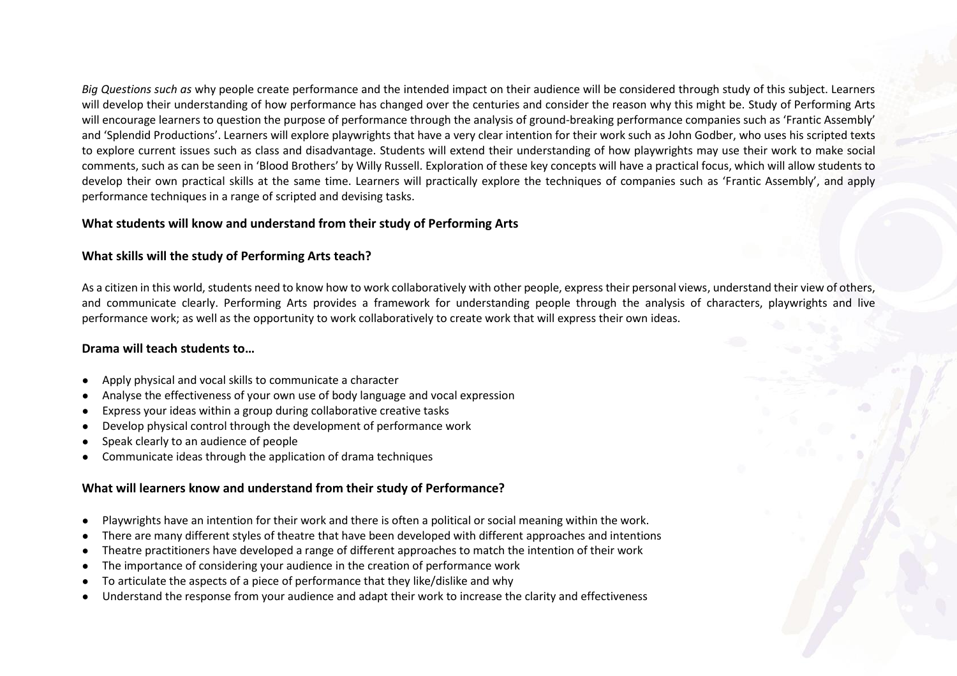*Big Questions such as* why people create performance and the intended impact on their audience will be considered through study of this subject. Learners will develop their understanding of how performance has changed over the centuries and consider the reason why this might be. Study of Performing Arts will encourage learners to question the purpose of performance through the analysis of ground-breaking performance companies such as 'Frantic Assembly' and 'Splendid Productions'. Learners will explore playwrights that have a very clear intention for their work such as John Godber, who uses his scripted texts to explore current issues such as class and disadvantage. Students will extend their understanding of how playwrights may use their work to make social comments, such as can be seen in 'Blood Brothers' by Willy Russell. Exploration of these key concepts will have a practical focus, which will allow students to develop their own practical skills at the same time. Learners will practically explore the techniques of companies such as 'Frantic Assembly', and apply performance techniques in a range of scripted and devising tasks.

#### **What students will know and understand from their study of Performing Arts**

# **What skills will the study of Performing Arts teach?**

As a citizen in this world, students need to know how to work collaboratively with other people, express their personal views, understand their view of others, and communicate clearly. Performing Arts provides a framework for understanding people through the analysis of characters, playwrights and live performance work; as well as the opportunity to work collaboratively to create work that will express their own ideas.

# **Drama will teach students to…**

- Apply physical and vocal skills to communicate a character
- Analyse the effectiveness of your own use of body language and vocal expression
- Express your ideas within a group during collaborative creative tasks
- Develop physical control through the development of performance work
- Speak clearly to an audience of people
- Communicate ideas through the application of drama techniques

# **What will learners know and understand from their study of Performance?**

- Playwrights have an intention for their work and there is often a political or social meaning within the work.
- There are many different styles of theatre that have been developed with different approaches and intentions
- Theatre practitioners have developed a range of different approaches to match the intention of their work
- The importance of considering your audience in the creation of performance work
- To articulate the aspects of a piece of performance that they like/dislike and why
- Understand the response from your audience and adapt their work to increase the clarity and effectiveness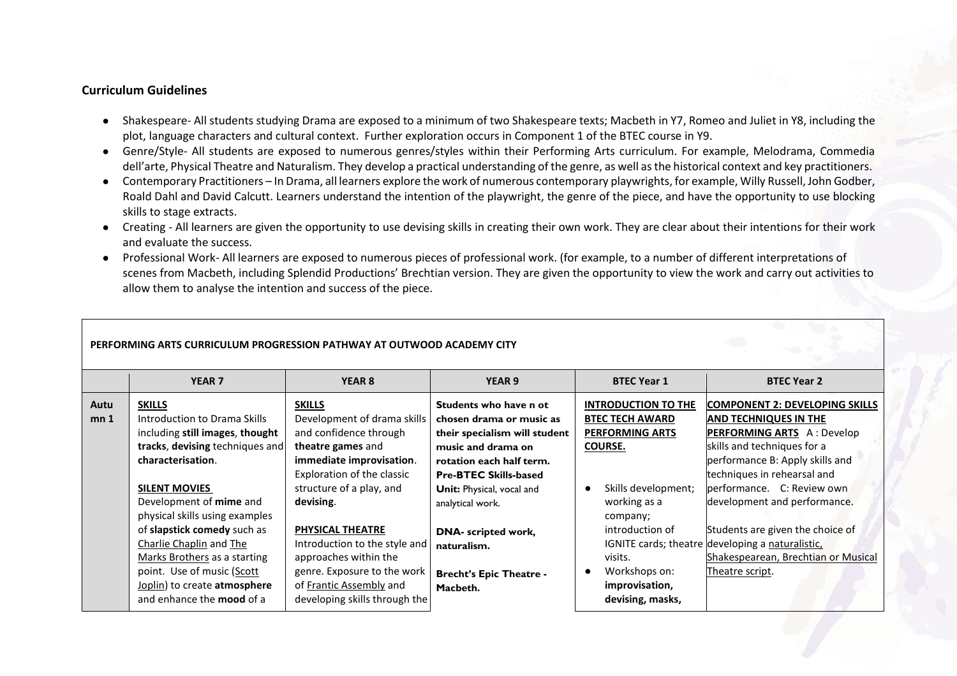#### **Curriculum Guidelines**

- Shakespeare- All students studying Drama are exposed to a minimum of two Shakespeare texts; Macbeth in Y7, Romeo and Juliet in Y8, including the plot, language characters and cultural context. Further exploration occurs in Component 1 of the BTEC course in Y9.
- Genre/Style- All students are exposed to numerous genres/styles within their Performing Arts curriculum. For example, Melodrama, Commedia dell'arte, Physical Theatre and Naturalism. They develop a practical understanding of the genre, as well as the historical context and key practitioners.
- Contemporary Practitioners In Drama, all learners explore the work of numerous contemporary playwrights, for example, Willy Russell, John Godber, Roald Dahl and David Calcutt. Learners understand the intention of the playwright, the genre of the piece, and have the opportunity to use blocking skills to stage extracts.
- Creating All learners are given the opportunity to use devising skills in creating their own work. They are clear about their intentions for their work and evaluate the success.
- Professional Work- All learners are exposed to numerous pieces of professional work. (for example, to a number of different interpretations of scenes from Macbeth, including Splendid Productions' Brechtian version. They are given the opportunity to view the work and carry out activities to allow them to analyse the intention and success of the piece.

|                 | YEAR <sub>7</sub>                | YEAR <sub>8</sub>             | YEAR 9                                     | <b>BTEC Year 1</b>         | <b>BTEC Year 2</b>                               |
|-----------------|----------------------------------|-------------------------------|--------------------------------------------|----------------------------|--------------------------------------------------|
| Autu            | <b>SKILLS</b>                    | <b>SKILLS</b>                 | Students who have n ot                     | <b>INTRODUCTION TO THE</b> | COMPONENT 2: DEVELOPING SKILLS                   |
| mn <sub>1</sub> | Introduction to Drama Skills     | Development of drama skills   | chosen drama or music as                   | <b>BTEC TECH AWARD</b>     | <b>AND TECHNIQUES IN THE</b>                     |
|                 | including still images, thought  | and confidence through        | their specialism will student              | <b>PERFORMING ARTS</b>     | <b>PERFORMING ARTS</b> A: Develop                |
|                 | tracks, devising techniques and  | theatre games and             | music and drama on                         | <b>COURSE.</b>             | skills and techniques for a                      |
|                 | characterisation.                | immediate improvisation.      | rotation each half term.                   |                            | performance B: Apply skills and                  |
|                 |                                  | Exploration of the classic    | <b>Pre-BTEC Skills-based</b>               |                            | techniques in rehearsal and                      |
|                 | <b>SILENT MOVIES</b>             | structure of a play, and      | Unit: Physical, vocal and                  | Skills development;        | performance. C: Review own                       |
|                 | Development of mime and          | devising.                     | analytical work.                           | working as a               | development and performance.                     |
|                 | physical skills using examples   |                               |                                            | company;                   |                                                  |
|                 | of slapstick comedy such as      | <b>PHYSICAL THEATRE</b>       | DNA- scripted work,                        | introduction of            | Students are given the choice of                 |
|                 | Charlie Chaplin and The          | Introduction to the style and | naturalism.                                |                            | IGNITE cards; theatre developing a naturalistic, |
|                 | Marks Brothers as a starting     | approaches within the         |                                            | visits.                    | Shakespearean, Brechtian or Musical              |
|                 | point. Use of music (Scott       | genre. Exposure to the work   |                                            | Workshops on:              | Theatre script.                                  |
|                 | Joplin) to create atmosphere     | of Frantic Assembly and       |                                            | improvisation,             |                                                  |
|                 | and enhance the <b>mood</b> of a | developing skills through the |                                            | devising, masks,           |                                                  |
|                 |                                  |                               | <b>Brecht's Epic Theatre -</b><br>Macbeth. |                            |                                                  |

#### **PERFORMING ARTS CURRICULUM PROGRESSION PATHWAY AT OUTWOOD ACADEMY CITY**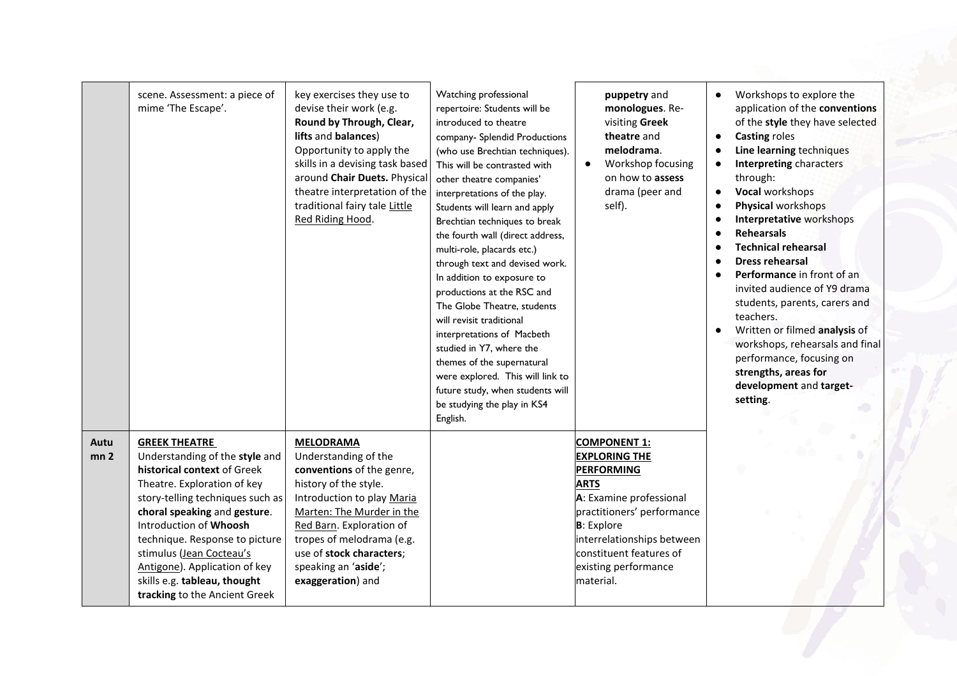|                         | scene. Assessment: a piece of<br>mime 'The Escape'.                                                                                                                                                                                                                                                                                                                                | key exercises they use to<br>devise their work (e.g.<br>Round by Through, Clear,<br>lifts and balances)<br>Opportunity to apply the<br>skills in a devising task based<br>around Chair Duets. Physical<br>theatre interpretation of the<br>traditional fairy tale Little<br>Red Riding Hood. | Watching professional<br>repertoire: Students will be<br>introduced to theatre<br>company- Splendid Productions<br>(who use Brechtian techniques).<br>This will be contrasted with<br>other theatre companies'<br>interpretations of the play.<br>Students will learn and apply<br>Brechtian techniques to break<br>the fourth wall (direct address,<br>multi-role, placards etc.)<br>through text and devised work.<br>In addition to exposure to<br>productions at the RSC and<br>The Globe Theatre, students<br>will revisit traditional<br>interpretations of Macbeth<br>studied in Y7, where the<br>themes of the supernatural<br>were explored. This will link to<br>future study, when students will<br>be studying the play in KS4<br>English. | puppetry and<br>monologues. Re-<br>visiting Greek<br>theatre and<br>melodrama.<br>Workshop focusing<br>$\bullet$<br>on how to assess<br>drama (peer and<br>self).                                                                                            | Workshops to explore the<br>$\bullet$<br>application of the conventions<br>of the style they have selected<br><b>Casting roles</b><br>$\bullet$<br>Line learning techniques<br>$\bullet$<br><b>Interpreting characters</b><br>through:<br>Vocal workshops<br>$\bullet$<br>Physical workshops<br>$\bullet$<br>Interpretative workshops<br><b>Rehearsals</b><br><b>Technical rehearsal</b><br><b>Dress rehearsal</b><br>Performance in front of an<br>invited audience of Y9 drama<br>students, parents, carers and<br>teachers.<br>Written or filmed analysis of<br>workshops, rehearsals and final<br>performance, focusing on<br>strengths, areas for<br>development and target-<br>setting. |
|-------------------------|------------------------------------------------------------------------------------------------------------------------------------------------------------------------------------------------------------------------------------------------------------------------------------------------------------------------------------------------------------------------------------|----------------------------------------------------------------------------------------------------------------------------------------------------------------------------------------------------------------------------------------------------------------------------------------------|--------------------------------------------------------------------------------------------------------------------------------------------------------------------------------------------------------------------------------------------------------------------------------------------------------------------------------------------------------------------------------------------------------------------------------------------------------------------------------------------------------------------------------------------------------------------------------------------------------------------------------------------------------------------------------------------------------------------------------------------------------|--------------------------------------------------------------------------------------------------------------------------------------------------------------------------------------------------------------------------------------------------------------|-----------------------------------------------------------------------------------------------------------------------------------------------------------------------------------------------------------------------------------------------------------------------------------------------------------------------------------------------------------------------------------------------------------------------------------------------------------------------------------------------------------------------------------------------------------------------------------------------------------------------------------------------------------------------------------------------|
| Autu<br>mn <sub>2</sub> | <b>GREEK THEATRE</b><br>Understanding of the style and<br>historical context of Greek<br>Theatre. Exploration of key<br>story-telling techniques such as<br>choral speaking and gesture.<br>Introduction of Whoosh<br>technique. Response to picture<br>stimulus (Jean Cocteau's<br>Antigone). Application of key<br>skills e.g. tableau, thought<br>tracking to the Ancient Greek | <b>MELODRAMA</b><br>Understanding of the<br>conventions of the genre,<br>history of the style.<br>Introduction to play Maria<br>Marten: The Murder in the<br>Red Barn. Exploration of<br>tropes of melodrama (e.g.<br>use of stock characters;<br>speaking an 'aside';<br>exaggeration) and  |                                                                                                                                                                                                                                                                                                                                                                                                                                                                                                                                                                                                                                                                                                                                                        | <b>COMPONENT 1:</b><br><b>EXPLORING THE</b><br><b>PERFORMING</b><br><b>ARTS</b><br>A: Examine professional<br>practitioners' performance<br><b>B</b> : Explore<br>interrelationships between<br>constituent features of<br>existing performance<br>material. |                                                                                                                                                                                                                                                                                                                                                                                                                                                                                                                                                                                                                                                                                               |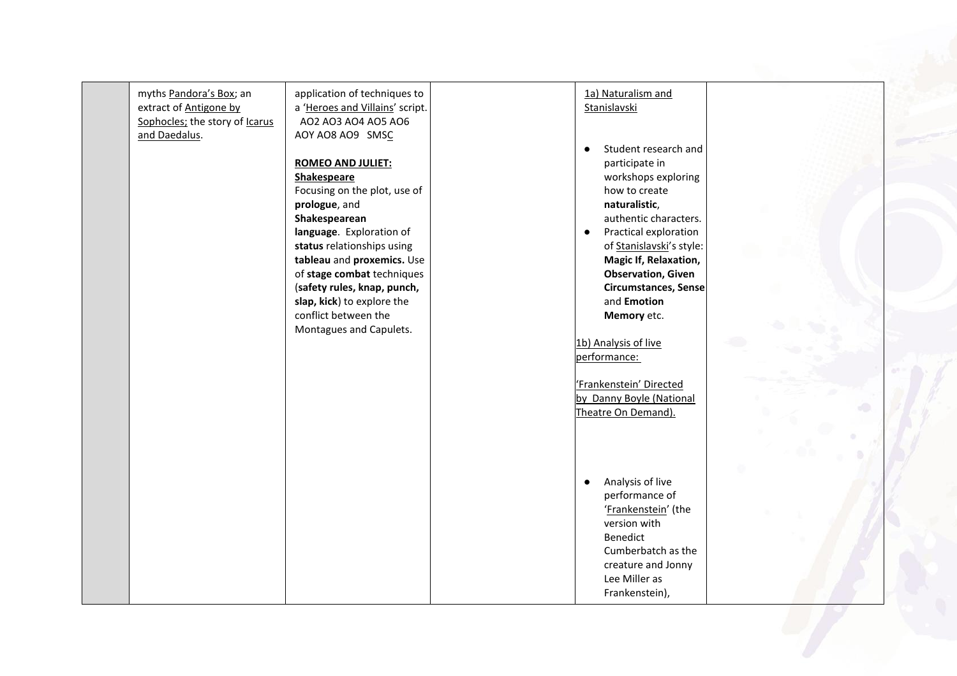| myths Pandora's Box; an<br>extract of Antigone by<br>Sophocles; the story of Icarus<br>and Daedalus. | application of techniques to<br>a 'Heroes and Villains' script.<br>AO2 AO3 AO4 AO5 AO6<br>AOY AO8 AO9 SMSC<br><b>ROMEO AND JULIET:</b><br>Shakespeare<br>Focusing on the plot, use of<br>prologue, and<br>Shakespearean<br>language. Exploration of<br>status relationships using<br>tableau and proxemics. Use<br>of stage combat techniques<br>(safety rules, knap, punch,<br>slap, kick) to explore the<br>conflict between the<br>Montagues and Capulets. | 1a) Naturalism and<br>Stanislavski<br>Student research and<br>participate in<br>workshops exploring<br>how to create<br>naturalistic,<br>authentic characters.<br>Practical exploration<br>$\bullet$<br>of Stanislavski's style:<br><b>Magic If, Relaxation,</b><br><b>Observation, Given</b><br><b>Circumstances, Sense</b><br>and Emotion<br>Memory etc.<br>1b) Analysis of live<br>performance:<br>'Frankenstein' Directed<br>by Danny Boyle (National<br>Theatre On Demand). |  |
|------------------------------------------------------------------------------------------------------|---------------------------------------------------------------------------------------------------------------------------------------------------------------------------------------------------------------------------------------------------------------------------------------------------------------------------------------------------------------------------------------------------------------------------------------------------------------|----------------------------------------------------------------------------------------------------------------------------------------------------------------------------------------------------------------------------------------------------------------------------------------------------------------------------------------------------------------------------------------------------------------------------------------------------------------------------------|--|
|                                                                                                      |                                                                                                                                                                                                                                                                                                                                                                                                                                                               | Analysis of live<br>$\bullet$<br>performance of<br>'Frankenstein' (the<br>version with<br><b>Benedict</b><br>Cumberbatch as the<br>creature and Jonny<br>Lee Miller as<br>Frankenstein),                                                                                                                                                                                                                                                                                         |  |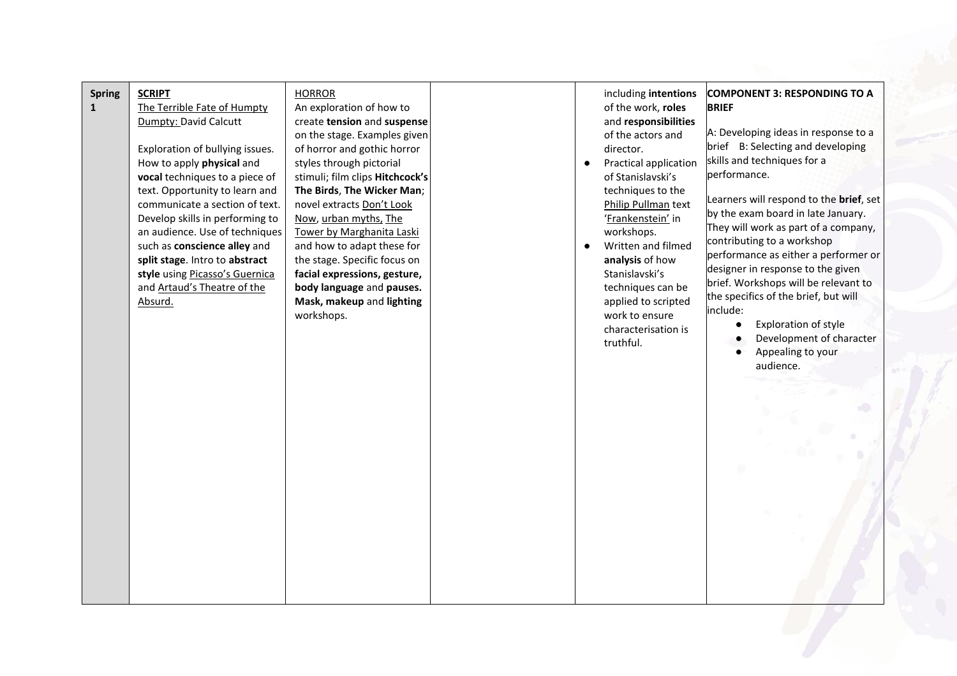| <b>Spring</b><br>$\mathbf{1}$ | <b>SCRIPT</b><br>The Terrible Fate of Humpty<br>Dumpty: David Calcutt<br>Exploration of bullying issues.<br>How to apply physical and<br>vocal techniques to a piece of<br>text. Opportunity to learn and<br>communicate a section of text.<br>Develop skills in performing to<br>an audience. Use of techniques<br>such as conscience alley and<br>split stage. Intro to abstract<br>style using Picasso's Guernica<br>and Artaud's Theatre of the<br>Absurd. | <b>HORROR</b><br>An exploration of how to<br>create tension and suspense<br>on the stage. Examples given<br>of horror and gothic horror<br>styles through pictorial<br>stimuli; film clips Hitchcock's<br>The Birds, The Wicker Man;<br>novel extracts Don't Look<br>Now, urban myths, The<br>Tower by Marghanita Laski<br>and how to adapt these for<br>the stage. Specific focus on<br>facial expressions, gesture,<br>body language and pauses.<br>Mask, makeup and lighting<br>workshops. |  | director.<br>$\bullet$<br>workshops.<br>analysis of how<br>Stanislavski's<br>work to ensure<br>truthful. | including intentions<br>of the work, roles<br>and responsibilities<br>of the actors and<br>Practical application<br>of Stanislavski's<br>techniques to the<br>Philip Pullman text<br>'Frankenstein' in<br>Written and filmed<br>techniques can be<br>applied to scripted<br>characterisation is | <b>COMPONENT 3: RESPONDING TO A</b><br><b>BRIEF</b><br>A: Developing ideas in response to a<br>brief B: Selecting and developing<br>skills and techniques for a<br>performance.<br>Learners will respond to the brief, set<br>by the exam board in late January.<br>They will work as part of a company,<br>contributing to a workshop<br>performance as either a performer or<br>designer in response to the given<br>brief. Workshops will be relevant to<br>the specifics of the brief, but will<br>include:<br>Exploration of style<br>Development of character<br>Appealing to your<br>audience. |  |
|-------------------------------|----------------------------------------------------------------------------------------------------------------------------------------------------------------------------------------------------------------------------------------------------------------------------------------------------------------------------------------------------------------------------------------------------------------------------------------------------------------|-----------------------------------------------------------------------------------------------------------------------------------------------------------------------------------------------------------------------------------------------------------------------------------------------------------------------------------------------------------------------------------------------------------------------------------------------------------------------------------------------|--|----------------------------------------------------------------------------------------------------------|-------------------------------------------------------------------------------------------------------------------------------------------------------------------------------------------------------------------------------------------------------------------------------------------------|-------------------------------------------------------------------------------------------------------------------------------------------------------------------------------------------------------------------------------------------------------------------------------------------------------------------------------------------------------------------------------------------------------------------------------------------------------------------------------------------------------------------------------------------------------------------------------------------------------|--|
|-------------------------------|----------------------------------------------------------------------------------------------------------------------------------------------------------------------------------------------------------------------------------------------------------------------------------------------------------------------------------------------------------------------------------------------------------------------------------------------------------------|-----------------------------------------------------------------------------------------------------------------------------------------------------------------------------------------------------------------------------------------------------------------------------------------------------------------------------------------------------------------------------------------------------------------------------------------------------------------------------------------------|--|----------------------------------------------------------------------------------------------------------|-------------------------------------------------------------------------------------------------------------------------------------------------------------------------------------------------------------------------------------------------------------------------------------------------|-------------------------------------------------------------------------------------------------------------------------------------------------------------------------------------------------------------------------------------------------------------------------------------------------------------------------------------------------------------------------------------------------------------------------------------------------------------------------------------------------------------------------------------------------------------------------------------------------------|--|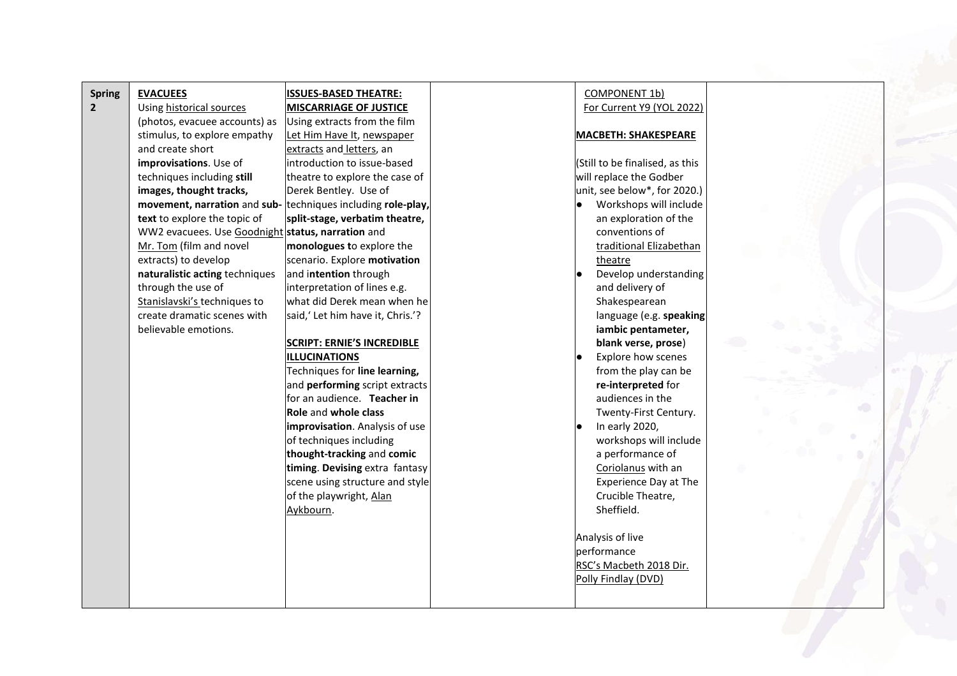| <b>Spring</b>  | <b>EVACUEES</b>                                              | <b>ISSUES-BASED THEATRE:</b>          | COMPONENT 1b)                   |  |
|----------------|--------------------------------------------------------------|---------------------------------------|---------------------------------|--|
| $\overline{2}$ | Using historical sources                                     | <b>MISCARRIAGE OF JUSTICE</b>         | For Current Y9 (YOL 2022)       |  |
|                | (photos, evacuee accounts) as                                | Using extracts from the film          |                                 |  |
|                | stimulus, to explore empathy                                 | Let Him Have It, newspaper            | <b>MACBETH: SHAKESPEARE</b>     |  |
|                | and create short                                             | extracts and letters, an              |                                 |  |
|                | improvisations. Use of                                       | introduction to issue-based           | (Still to be finalised, as this |  |
|                | techniques including still                                   | theatre to explore the case of        | will replace the Godber         |  |
|                | images, thought tracks,                                      | Derek Bentley. Use of                 | unit, see below*, for 2020.)    |  |
|                | movement, narration and sub- techniques including role-play, |                                       | Workshops will include          |  |
|                | text to explore the topic of                                 | split-stage, verbatim theatre,        | an exploration of the           |  |
|                | WW2 evacuees. Use Goodnight status, narration and            |                                       | conventions of                  |  |
|                | Mr. Tom (film and novel                                      | monologues to explore the             | traditional Elizabethan         |  |
|                | extracts) to develop                                         | scenario. Explore motivation          | theatre                         |  |
|                | naturalistic acting techniques                               | and intention through                 | Develop understanding           |  |
|                | through the use of                                           | interpretation of lines e.g.          | and delivery of                 |  |
|                | Stanislavski's techniques to                                 | what did Derek mean when he           | Shakespearean                   |  |
|                | create dramatic scenes with                                  | said,' Let him have it, Chris.'?      | language (e.g. speaking         |  |
|                | believable emotions.                                         |                                       | iambic pentameter,              |  |
|                |                                                              | <b>SCRIPT: ERNIE'S INCREDIBLE</b>     | blank verse, prose)             |  |
|                |                                                              | <b>ILLUCINATIONS</b>                  | Explore how scenes              |  |
|                |                                                              | Techniques for line learning,         | from the play can be            |  |
|                |                                                              | and <b>performing</b> script extracts | re-interpreted for              |  |
|                |                                                              | for an audience. Teacher in           | audiences in the                |  |
|                |                                                              | <b>Role and whole class</b>           | Twenty-First Century.           |  |
|                |                                                              | improvisation. Analysis of use        | In early 2020,                  |  |
|                |                                                              | of techniques including               | workshops will include          |  |
|                |                                                              | thought-tracking and comic            | a performance of                |  |
|                |                                                              | timing. Devising extra fantasy        | Coriolanus with an              |  |
|                |                                                              | scene using structure and style       | <b>Experience Day at The</b>    |  |
|                |                                                              | of the playwright, Alan               | Crucible Theatre,               |  |
|                |                                                              | Aykbourn.                             | Sheffield.                      |  |
|                |                                                              |                                       |                                 |  |
|                |                                                              |                                       | Analysis of live                |  |
|                |                                                              |                                       | performance                     |  |
|                |                                                              |                                       | RSC's Macbeth 2018 Dir.         |  |
|                |                                                              |                                       | Polly Findlay (DVD)             |  |
|                |                                                              |                                       |                                 |  |
|                |                                                              |                                       |                                 |  |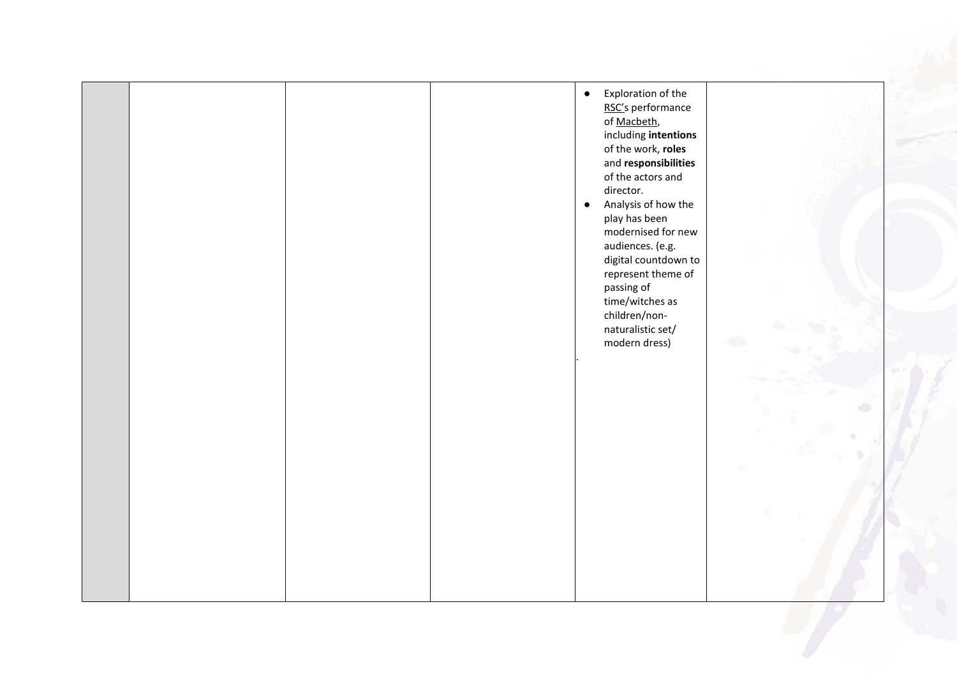|  |  | Exploration of the<br>$\bullet$<br>RSC's performance<br>of Macbeth,<br>including intentions<br>of the work, roles<br>and responsibilities<br>of the actors and<br>director.<br>Analysis of how the<br>$\bullet$<br>play has been<br>modernised for new<br>audiences. (e.g.<br>digital countdown to<br>represent theme of<br>passing of<br>time/witches as<br>children/non-<br>naturalistic set/<br>modern dress) |  |
|--|--|------------------------------------------------------------------------------------------------------------------------------------------------------------------------------------------------------------------------------------------------------------------------------------------------------------------------------------------------------------------------------------------------------------------|--|
|  |  |                                                                                                                                                                                                                                                                                                                                                                                                                  |  |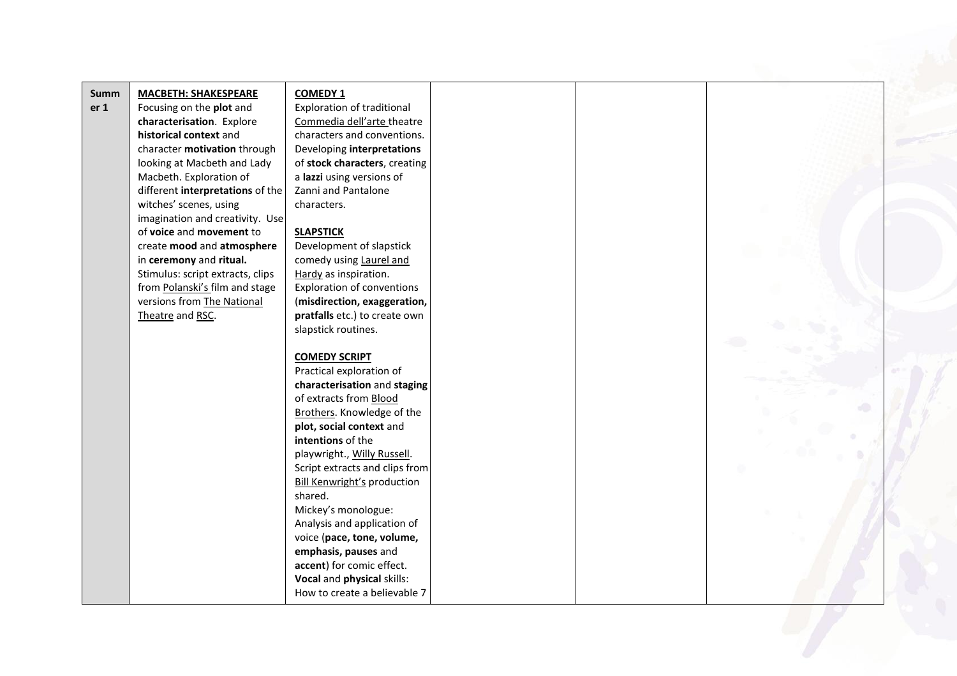| <b>Summ</b>     | <b>MACBETH: SHAKESPEARE</b>      | <b>COMEDY 1</b>                    |
|-----------------|----------------------------------|------------------------------------|
| er <sub>1</sub> | Focusing on the plot and         | Exploration of traditional         |
|                 | characterisation. Explore        | Commedia dell'arte theatre         |
|                 | historical context and           | characters and conventions.        |
|                 | character motivation through     | Developing interpretations         |
|                 | looking at Macbeth and Lady      | of stock characters, creating      |
|                 | Macbeth. Exploration of          | a lazzi using versions of          |
|                 | different interpretations of the | Zanni and Pantalone                |
|                 | witches' scenes, using           | characters.                        |
|                 | imagination and creativity. Use  |                                    |
|                 | of voice and movement to         | <b>SLAPSTICK</b>                   |
|                 | create mood and atmosphere       | Development of slapstick           |
|                 | in ceremony and ritual.          | comedy using Laurel and            |
|                 | Stimulus: script extracts, clips | Hardy as inspiration.              |
|                 | from Polanski's film and stage   | <b>Exploration of conventions</b>  |
|                 | versions from The National       | (misdirection, exaggeration,       |
|                 | Theatre and RSC.                 | pratfalls etc.) to create own      |
|                 |                                  | slapstick routines.                |
|                 |                                  |                                    |
|                 |                                  | <b>COMEDY SCRIPT</b>               |
|                 |                                  | Practical exploration of           |
|                 |                                  | characterisation and staging       |
|                 |                                  | of extracts from Blood             |
|                 |                                  | Brothers. Knowledge of the         |
|                 |                                  | plot, social context and           |
|                 |                                  | intentions of the                  |
|                 |                                  | playwright., Willy Russell.        |
|                 |                                  | Script extracts and clips from     |
|                 |                                  | <b>Bill Kenwright's production</b> |
|                 |                                  | shared.                            |
|                 |                                  | Mickey's monologue:                |
|                 |                                  | Analysis and application of        |
|                 |                                  | voice (pace, tone, volume,         |
|                 |                                  | emphasis, pauses and               |
|                 |                                  | accent) for comic effect.          |
|                 |                                  | Vocal and physical skills:         |
|                 |                                  | How to create a believable 7       |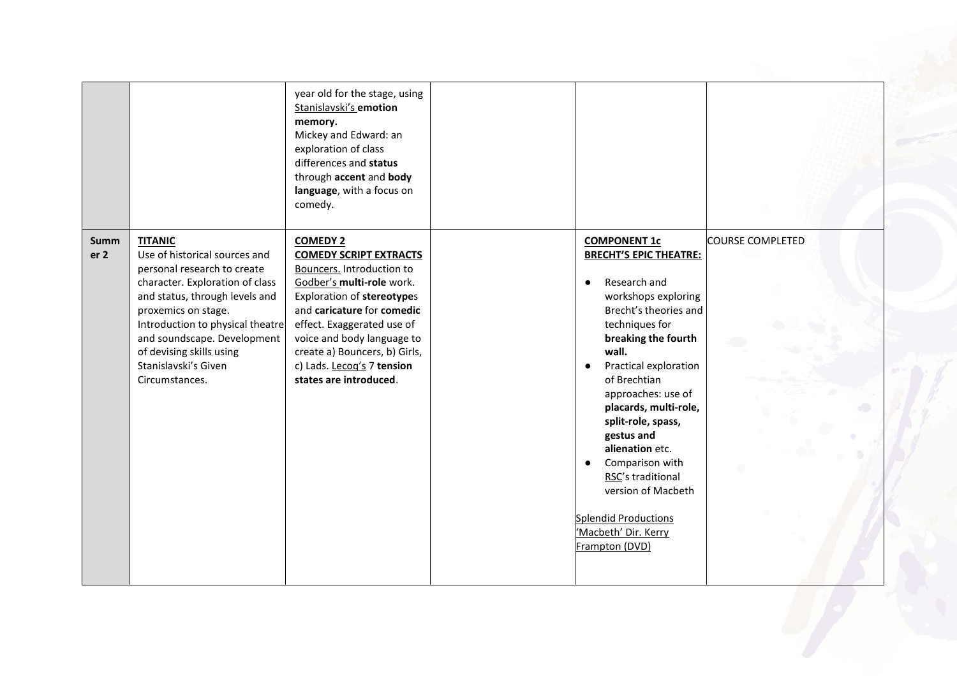|                         |                                                                                                                                                                                                                                                                                                                     | year old for the stage, using<br>Stanislavski's emotion<br>memory.<br>Mickey and Edward: an<br>exploration of class<br>differences and status<br>through accent and body<br>language, with a focus on<br>comedy.                                                                                                            |                                                                                                                                                                                                                                                                                                                                                                                                                                                              |                         |
|-------------------------|---------------------------------------------------------------------------------------------------------------------------------------------------------------------------------------------------------------------------------------------------------------------------------------------------------------------|-----------------------------------------------------------------------------------------------------------------------------------------------------------------------------------------------------------------------------------------------------------------------------------------------------------------------------|--------------------------------------------------------------------------------------------------------------------------------------------------------------------------------------------------------------------------------------------------------------------------------------------------------------------------------------------------------------------------------------------------------------------------------------------------------------|-------------------------|
| Summ<br>er <sub>2</sub> | <b>TITANIC</b><br>Use of historical sources and<br>personal research to create<br>character. Exploration of class<br>and status, through levels and<br>proxemics on stage.<br>Introduction to physical theatre<br>and soundscape. Development<br>of devising skills using<br>Stanislavski's Given<br>Circumstances. | <b>COMEDY 2</b><br><b>COMEDY SCRIPT EXTRACTS</b><br>Bouncers. Introduction to<br>Godber's multi-role work.<br>Exploration of stereotypes<br>and caricature for comedic<br>effect. Exaggerated use of<br>voice and body language to<br>create a) Bouncers, b) Girls,<br>c) Lads. Lecog's 7 tension<br>states are introduced. | <b>COMPONENT 1c</b><br><b>BRECHT'S EPIC THEATRE:</b><br>Research and<br>workshops exploring<br>Brecht's theories and<br>techniques for<br>breaking the fourth<br>wall.<br>Practical exploration<br>of Brechtian<br>approaches: use of<br>placards, multi-role,<br>split-role, spass,<br>gestus and<br>alienation etc.<br>Comparison with<br>RSC's traditional<br>version of Macbeth<br><b>Splendid Productions</b><br>'Macbeth' Dir. Kerry<br>Frampton (DVD) | <b>COURSE COMPLETED</b> |